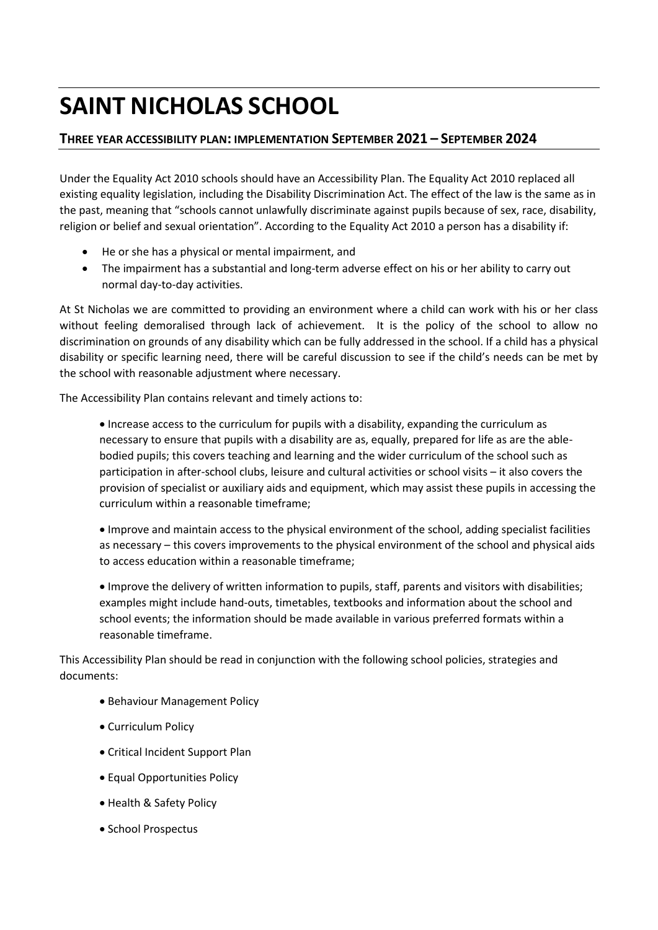## **SAINT NICHOLAS SCHOOL**

## **THREE YEAR ACCESSIBILITY PLAN: IMPLEMENTATION SEPTEMBER 2021 – SEPTEMBER 2024**

Under the Equality Act 2010 schools should have an Accessibility Plan. The Equality Act 2010 replaced all existing equality legislation, including the Disability Discrimination Act. The effect of the law is the same as in the past, meaning that "schools cannot unlawfully discriminate against pupils because of sex, race, disability, religion or belief and sexual orientation". According to the Equality Act 2010 a person has a disability if:

- He or she has a physical or mental impairment, and
- The impairment has a substantial and long-term adverse effect on his or her ability to carry out normal day-to-day activities.

At St Nicholas we are committed to providing an environment where a child can work with his or her class without feeling demoralised through lack of achievement. It is the policy of the school to allow no discrimination on grounds of any disability which can be fully addressed in the school. If a child has a physical disability or specific learning need, there will be careful discussion to see if the child's needs can be met by the school with reasonable adjustment where necessary.

The Accessibility Plan contains relevant and timely actions to:

• Increase access to the curriculum for pupils with a disability, expanding the curriculum as necessary to ensure that pupils with a disability are as, equally, prepared for life as are the ablebodied pupils; this covers teaching and learning and the wider curriculum of the school such as participation in after-school clubs, leisure and cultural activities or school visits – it also covers the provision of specialist or auxiliary aids and equipment, which may assist these pupils in accessing the curriculum within a reasonable timeframe;

• Improve and maintain access to the physical environment of the school, adding specialist facilities as necessary – this covers improvements to the physical environment of the school and physical aids to access education within a reasonable timeframe;

• Improve the delivery of written information to pupils, staff, parents and visitors with disabilities; examples might include hand-outs, timetables, textbooks and information about the school and school events; the information should be made available in various preferred formats within a reasonable timeframe.

This Accessibility Plan should be read in conjunction with the following school policies, strategies and documents:

- Behaviour Management Policy
- Curriculum Policy
- Critical Incident Support Plan
- Equal Opportunities Policy
- Health & Safety Policy
- School Prospectus